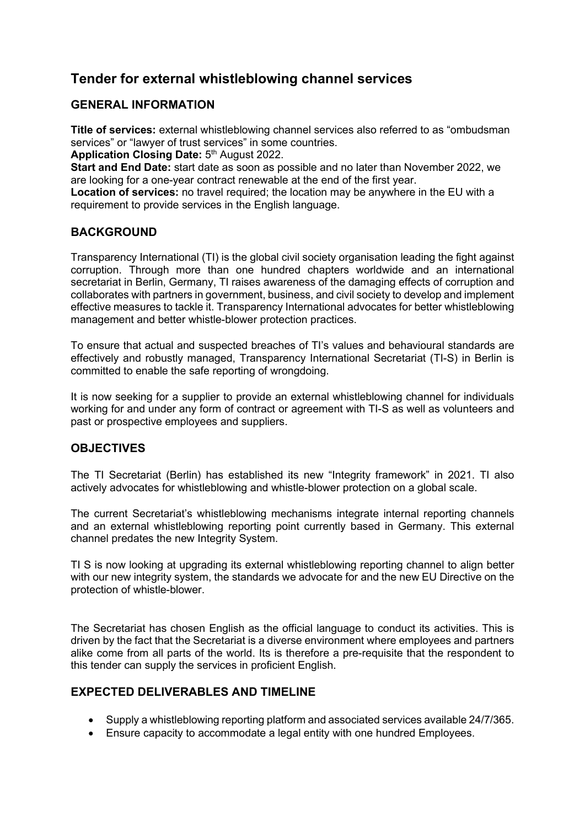# **Tender for external whistleblowing channel services**

#### **GENERAL INFORMATION**

**Title of services:** external whistleblowing channel services also referred to as "ombudsman services" or "lawyer of trust services" in some countries.

Application Closing Date: 5<sup>th</sup> August 2022.

**Start and End Date:** start date as soon as possible and no later than November 2022, we are looking for a one-year contract renewable at the end of the first year.

**Location of services:** no travel required; the location may be anywhere in the EU with a requirement to provide services in the English language.

## **BACKGROUND**

Transparency International (TI) is the global civil society organisation leading the fight against corruption. Through more than one hundred chapters worldwide and an international secretariat in Berlin, Germany, TI raises awareness of the damaging effects of corruption and collaborates with partners in government, business, and civil society to develop and implement effective measures to tackle it. Transparency International advocates for better whistleblowing management and better whistle-blower protection practices.

To ensure that actual and suspected breaches of TI's values and behavioural standards are effectively and robustly managed, Transparency International Secretariat (TI-S) in Berlin is committed to enable the safe reporting of wrongdoing.

It is now seeking for a supplier to provide an external whistleblowing channel for individuals working for and under any form of contract or agreement with TI-S as well as volunteers and past or prospective employees and suppliers.

## **OBJECTIVES**

The TI Secretariat (Berlin) has established its new "Integrity framework" in 2021. TI also actively advocates for whistleblowing and whistle-blower protection on a global scale.

The current Secretariat's whistleblowing mechanisms integrate internal reporting channels and an external whistleblowing reporting point currently based in Germany. This external channel predates the new Integrity System.

TI S is now looking at upgrading its external whistleblowing reporting channel to align better with our new integrity system, the standards we advocate for and the new EU Directive on the protection of whistle-blower.

The Secretariat has chosen English as the official language to conduct its activities. This is driven by the fact that the Secretariat is a diverse environment where employees and partners alike come from all parts of the world. Its is therefore a pre-requisite that the respondent to this tender can supply the services in proficient English.

#### **EXPECTED DELIVERABLES AND TIMELINE**

- Supply a whistleblowing reporting platform and associated services available 24/7/365.
- Ensure capacity to accommodate a legal entity with one hundred Employees.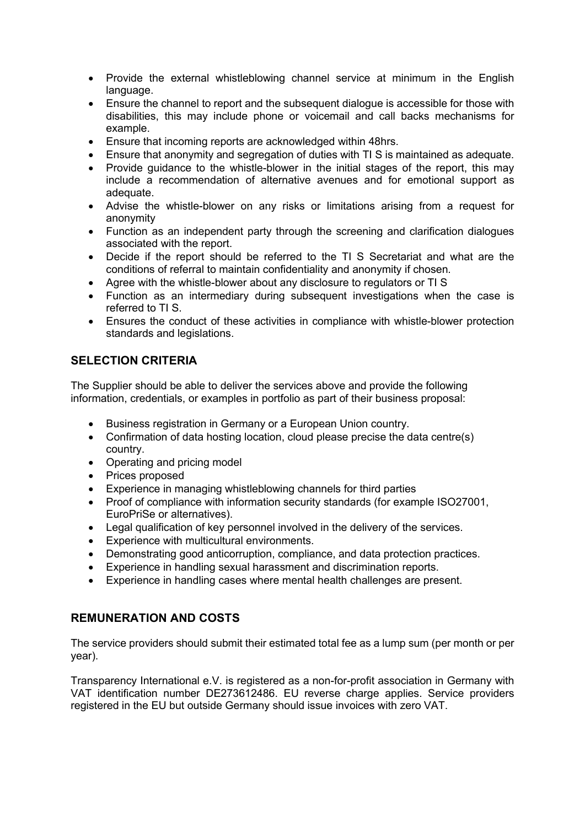- Provide the external whistleblowing channel service at minimum in the English language.
- Ensure the channel to report and the subsequent dialogue is accessible for those with disabilities, this may include phone or voicemail and call backs mechanisms for example.
- Ensure that incoming reports are acknowledged within 48hrs.
- Ensure that anonymity and segregation of duties with TI S is maintained as adequate.
- Provide guidance to the whistle-blower in the initial stages of the report, this may include a recommendation of alternative avenues and for emotional support as adequate.
- Advise the whistle-blower on any risks or limitations arising from a request for anonymity
- Function as an independent party through the screening and clarification dialogues associated with the report.
- Decide if the report should be referred to the TI S Secretariat and what are the conditions of referral to maintain confidentiality and anonymity if chosen.
- Agree with the whistle-blower about any disclosure to regulators or TI S
- Function as an intermediary during subsequent investigations when the case is referred to TI S.
- Ensures the conduct of these activities in compliance with whistle-blower protection standards and legislations.

### **SELECTION CRITERIA**

The Supplier should be able to deliver the services above and provide the following information, credentials, or examples in portfolio as part of their business proposal:

- Business registration in Germany or a European Union country.
- Confirmation of data hosting location, cloud please precise the data centre(s) country.
- Operating and pricing model
- Prices proposed
- Experience in managing whistleblowing channels for third parties
- Proof of compliance with information security standards (for example ISO27001, EuroPriSe or alternatives).
- Legal qualification of key personnel involved in the delivery of the services.
- Experience with multicultural environments.
- Demonstrating good anticorruption, compliance, and data protection practices.
- Experience in handling sexual harassment and discrimination reports.
- Experience in handling cases where mental health challenges are present.

#### **REMUNERATION AND COSTS**

The service providers should submit their estimated total fee as a lump sum (per month or per year).

Transparency International e.V. is registered as a non-for-profit association in Germany with VAT identification number DE273612486. EU reverse charge applies. Service providers registered in the EU but outside Germany should issue invoices with zero VAT.